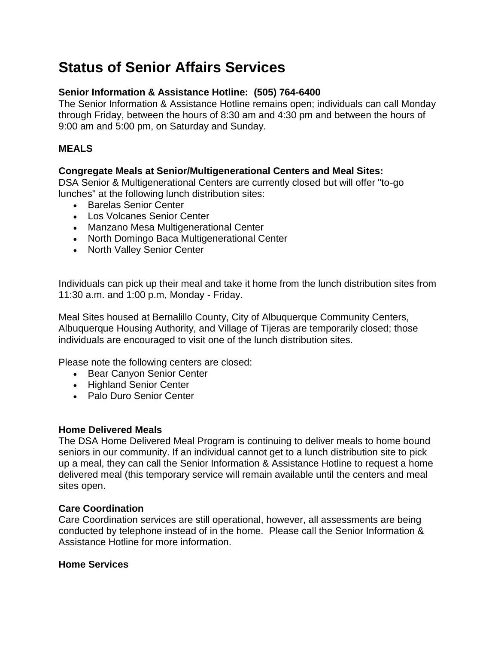# **Status of Senior Affairs Services**

## **Senior Information & Assistance Hotline: (505) 764-6400**

The Senior Information & Assistance Hotline remains open; individuals can call Monday through Friday, between the hours of 8:30 am and 4:30 pm and between the hours of 9:00 am and 5:00 pm, on Saturday and Sunday.

## **MEALS**

## **Congregate Meals at Senior/Multigenerational Centers and Meal Sites:**

DSA Senior & Multigenerational Centers are currently closed but will offer "to-go lunches" at the following lunch distribution sites:

- Barelas Senior Center
- Los Volcanes Senior Center
- Manzano Mesa Multigenerational Center
- North Domingo Baca Multigenerational Center
- North Valley Senior Center

Individuals can pick up their meal and take it home from the lunch distribution sites from 11:30 a.m. and 1:00 p.m, Monday - Friday.

Meal Sites housed at Bernalillo County, City of Albuquerque Community Centers, Albuquerque Housing Authority, and Village of Tijeras are temporarily closed; those individuals are encouraged to visit one of the lunch distribution sites.

Please note the following centers are closed:

- Bear Canyon Senior Center
- Highland Senior Center
- Palo Duro Senior Center

#### **Home Delivered Meals**

The DSA Home Delivered Meal Program is continuing to deliver meals to home bound seniors in our community. If an individual cannot get to a lunch distribution site to pick up a meal, they can call the Senior Information & Assistance Hotline to request a home delivered meal (this temporary service will remain available until the centers and meal sites open.

#### **Care Coordination**

Care Coordination services are still operational, however, all assessments are being conducted by telephone instead of in the home. Please call the Senior Information & Assistance Hotline for more information.

#### **Home Services**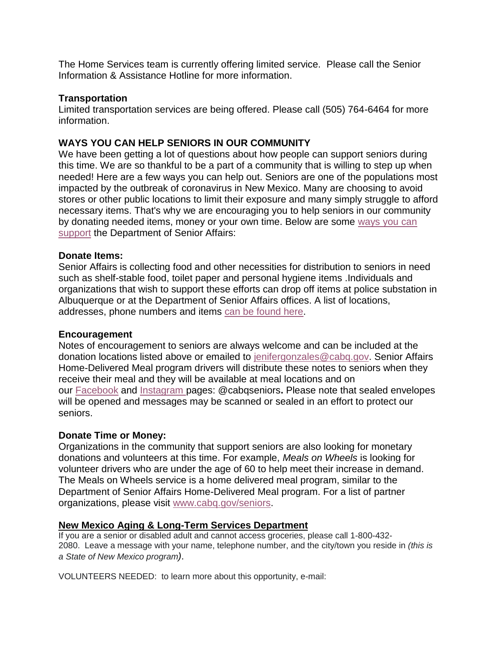The Home Services team is currently offering limited service. Please call the Senior Information & Assistance Hotline for more information.

#### **Transportation**

Limited transportation services are being offered. Please call (505) 764-6464 for more information.

#### **WAYS YOU CAN HELP SENIORS IN OUR COMMUNITY**

We have been getting a lot of questions about how people can support seniors during this time. We are so thankful to be a part of a community that is willing to step up when needed! Here are a few ways you can help out. Seniors are one of the populations most impacted by the outbreak of coronavirus in New Mexico. Many are choosing to avoid stores or other public locations to limit their exposure and many simply struggle to afford necessary items. That's why we are encouraging you to help seniors in our community by donating needed items, money or your own time. Below are some [ways you can](https://webmail.cabq.gov/owa/redir.aspx?C=BObxnGewjVsboRwPRoRn5iBGvcsx4N6tkpDcTqhmetVFjoLg7MrXCA..&URL=http%3a%2f%2fwww.cabq.gov%2fseniors%2fdocuments%2fwaystosupportseniors.pdf)  [support](https://webmail.cabq.gov/owa/redir.aspx?C=BObxnGewjVsboRwPRoRn5iBGvcsx4N6tkpDcTqhmetVFjoLg7MrXCA..&URL=http%3a%2f%2fwww.cabq.gov%2fseniors%2fdocuments%2fwaystosupportseniors.pdf) the Department of Senior Affairs:

#### **Donate Items:**

Senior Affairs is collecting food and other necessities for distribution to seniors in need such as shelf-stable food, toilet paper and personal hygiene items .Individuals and organizations that wish to support these efforts can drop off items at police substation in Albuquerque or at the Department of Senior Affairs offices. A list of locations, addresses, phone numbers and items [can be found here.](https://webmail.cabq.gov/owa/redir.aspx?C=17CSFSupGe9jYK4KBBOiAX4BTVbzFpR49zzqW9TwmilPtYLg7MrXCA..&URL=http%3a%2f%2fwww.cabq.gov%2fseniors%2fdocuments%2fcabqdonationlist.pdf)

#### **Encouragement**

Notes of encouragement to seniors are always welcome and can be included at the donation locations listed above or emailed to [jenifergonzales@cabq.gov.](https://webmail.cabq.gov/owa/redir.aspx?C=H0m3kmeoZ9qWGXRYImelyH7Cn8Xv5jSDWFvCM0zl7qpPtYLg7MrXCA..&URL=mailto%3ajenifergonzales%40cabq.gov) Senior Affairs Home-Delivered Meal program drivers will distribute these notes to seniors when they receive their meal and they will be available at meal locations and on our [Facebook](https://webmail.cabq.gov/owa/redir.aspx?C=q_ki62BFIN_5r5AMiL7IOXSZnMh0AU7AGKW6Km1k69xPtYLg7MrXCA..&URL=https%3a%2f%2fwww.facebook.com%2fCABQSeniors) and [Instagram](https://webmail.cabq.gov/owa/redir.aspx?C=OPQNWk_RqqjngRWHTCHJe2-GgA1xd4u9yVTMFCkvTntPtYLg7MrXCA..&URL=https%3a%2f%2fwww.instagram.com%2fcabqseniors%2f) pages: @cabqseniors**.** Please note that sealed envelopes will be opened and messages may be scanned or sealed in an effort to protect our seniors.

#### **Donate Time or Money:**

Organizations in the community that support seniors are also looking for monetary donations and volunteers at this time. For example, *Meals on Wheels* is looking for volunteer drivers who are under the age of 60 to help meet their increase in demand. The Meals on Wheels service is a home delivered meal program, similar to the Department of Senior Affairs Home-Delivered Meal program. For a list of partner organizations, please visit [www.cabq.gov/seniors.](https://webmail.cabq.gov/owa/redir.aspx?C=pk1z-8-36r_kQKLJ8G4Rmwl5wtq6oDQ-TX_lb5epdhxPtYLg7MrXCA..&URL=http%3a%2f%2fwww.cabq.gov%2fseniors)

#### **New Mexico Aging & Long-Term Services Department**

If you are a senior or disabled adult and cannot access groceries, please call 1-800-432- 2080. Leave a message with your name, telephone number, and the city/town you reside in *(this is a State of New Mexico program)*.

VOLUNTEERS NEEDED: to learn more about this opportunity, e-mail: